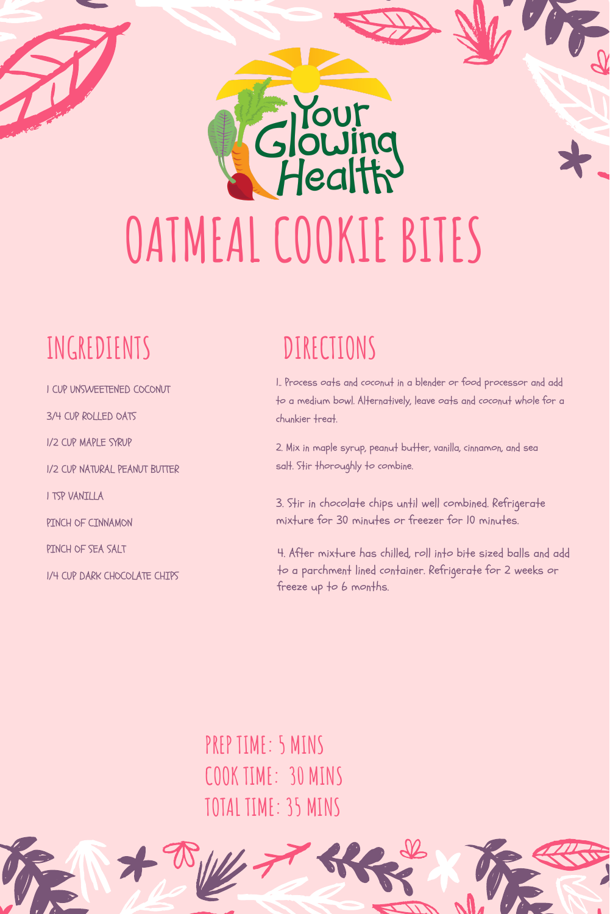# **OATMEAL COOKIE BITES**

#### **INGREDIENTS**

1 CUP UNSWEETENED COCONUT

3/4 CUP ROLLED OATS

1/2 CUP MAPLE SYRUP

1/2 CUP NATURAL PEANUT BUTTER

1 TSP VANILLA

PINCH OF CINNAMON

PINCH OF SEA SALT

1/4 CUP DARK CHOCOLATE CHIPS

#### **DIRECTIONS**

TOUT

Health

1.. Process oats and coconut in a blender or food processor and add to a medium bowl. Alternatively, leave oats and coconut whole for a chunkier treat.

2. Mix in maple syrup, peanut butter, vanilla, cinnamon, and sea salt. Stir thoroughly to combine.

3. Stir in chocolate chips until well combined. Refrigerate mixture for 30 minutes or freezer for 10 minutes.

4. After mixture has chilled, roll into bite sized balls and add to a parchment lined container. Refrigerate for 2 weeks or freeze up to  $6$  months.

**PREP TIME: 5 MINS COOK TIME: 30 MINS TOTAL TIME: 35 MINS**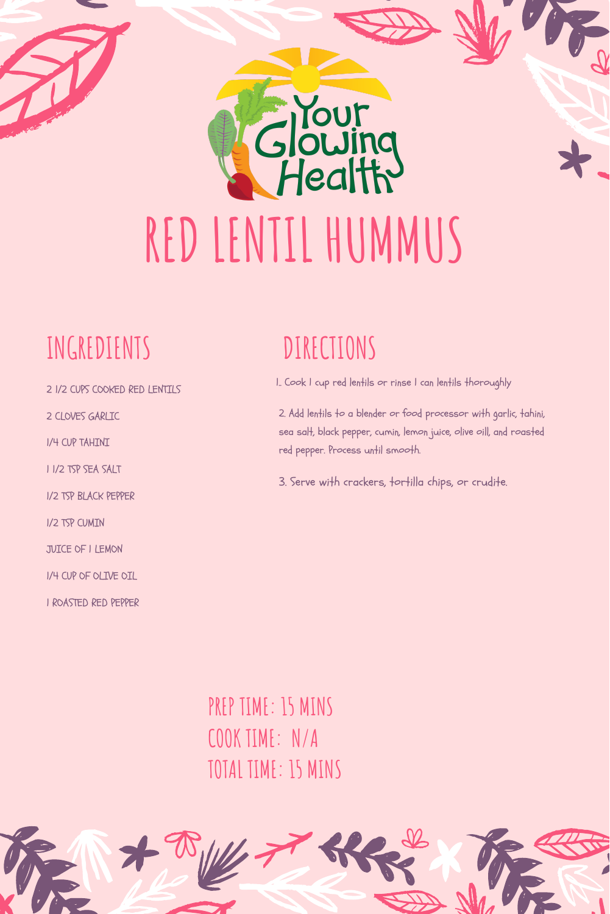## Health **REDLENTIL HUMMUS**

#### **INGREDIENTS**

- 2 1/2 CUPS COOKED RED LENTILS
- 2 CLOVES GARLIC
- 1/4 CUP TAHINI
- 1 1/2 TSP SEA SALT
- 1/2 TSP BLACK PEPPER
- 1/2 TSP CUMIN
- JUICE OF 1 LEMON
- 1/4 CUP OF OLIVE OIL
- 1 ROASTED RED PEPPER

#### **DIRECTIONS**

**TOUT** 

- 1.. Cook 1 cup red lentils or rinse 1 can lentils thoroughly
- 2. Add lentils to a blender or food processor with garlic, tahini, sea salt, black pepper, cumin, lemon juice, olive oill, and roasted red pepper. Process until smooth.
- 3. Serve with crackers, tortilla chips, or crudite.

**PREP TIME: 15 MINS COOK TIME: N/A TOTAL TIME: 15 MINS**

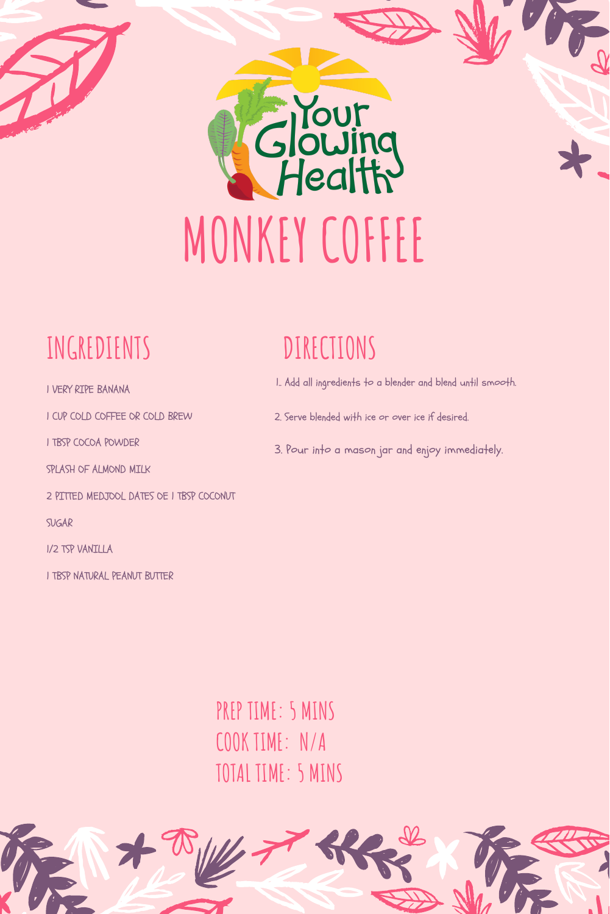

#### **INGREDIENTS**

1 VERY RIPE BANANA

1 CUP COLD COFFEE OR COLD BREW

1 TBSP COCOA POWDER

SPLASH OF ALMOND MILK

2 PITTED MEDJOOL DATES OE 1 TBSP COCONUT

SUGAR

1/2 TSP VANILLA

1 TBSP NATURAL PEANUT BUTTER

#### **DIRECTIONS**

- 1.. Add all ingredients to a blender and blend until smooth.
- 2. Serve blended with ice or over ice if desired.
- 3. Pour into a mason jar and enjoy immediately.

**PREP TIME: 5 MINS COOK TIME: N/A TOTAL TIME: 5 MINS**